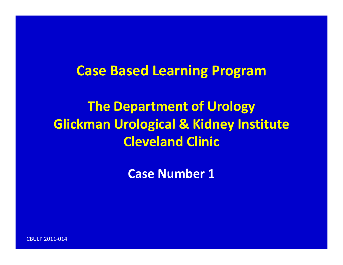#### **Case Based Learning Program**

**The Department of Urology Glickman Urological & Kidney Institute Cleveland Clinic**

**Case Number 1**

CBULP 2011‐014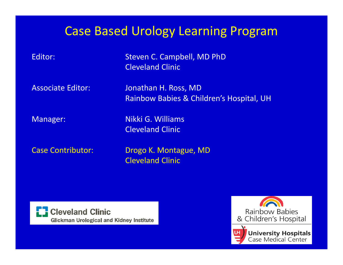#### Case Based Urology Learning Program

 Steven C. Campbell, MD PhD Cleveland Clinic

**Associate Editor:** 

 Editor: Jonathan H. Ross, MD Rainbow Babies & Children's Hospital, UH

Editor:

Manager: Nikki G. Williams Cleveland Clinic

**Case Contributor:** 

Drogo K. Montague, MD Cleveland Clinic



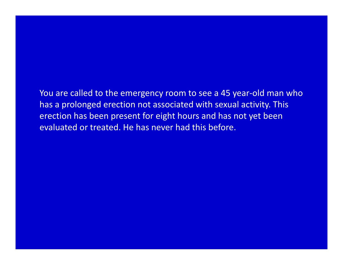You are called to the emergency room to see <sup>a</sup> 45 year‐old man who has a prolonged erection not associated with sexual activity. This erection has been present for eight hours and has not yet been evaluated or treated. He has never had this before.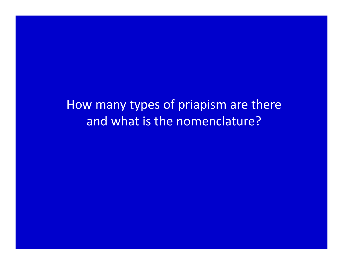How many types of priapism are there and what is the nomenclature?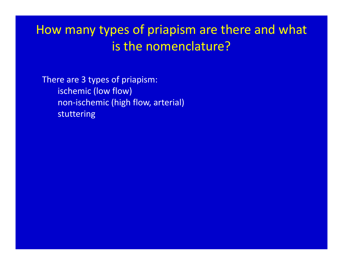## How many types of priapism are there and what is the nomenclature?

There are 3 types of priapism: ischemic (low flow) non‐ischemic (high flow, arterial) stuttering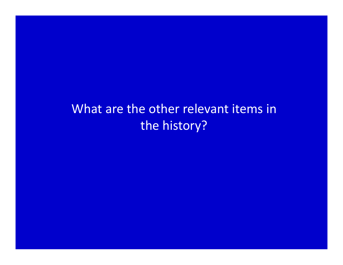## What are the other relevant items in the history?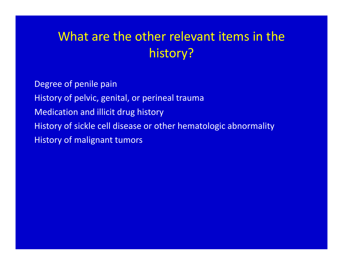# What are the other relevant items in the history?

Degree of penile pain History of pelvic, genital, or perineal trauma Medication and illicit drug history History of sickle cell disease or other hematologic abnormality History of malignant tumors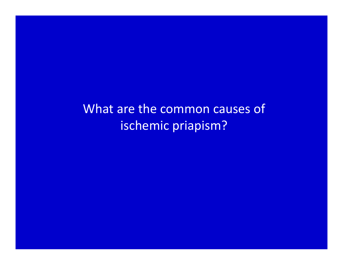What are the common causes of ischemic priapism?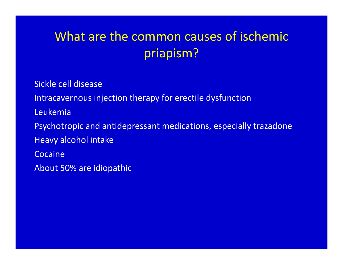# What are the common causes of ischemic priapism?

Sickle cell disease

Intracavernous injection therapy for erectile dysfunction

Leukemia

Psychotropic and antidepressant medications, especially trazadone

Heavy alcohol intake

Cocaine

About 50% are idiopathic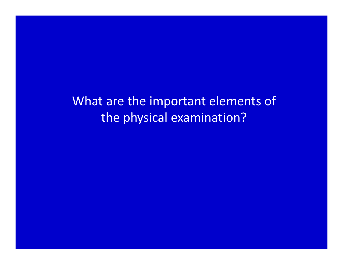What are the important elements of the physical examination?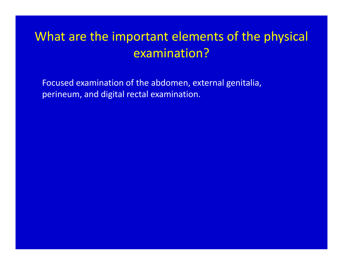# What are the important elements of the physical examination?

Focused examination of the abdomen, external genitalia, perineum, and digital rectal examination.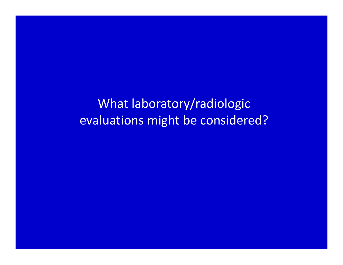What laboratory/radiologic evaluations might be considered?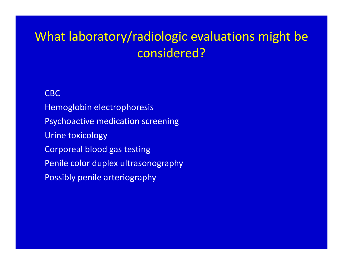# What laboratory/radiologic evaluations might be considered?

CBCHemoglobin electrophoresis Psychoactive medication screening Urine toxicology Corporeal blood gas testing Penile color duplex ultrasonography Possibly penile arteriography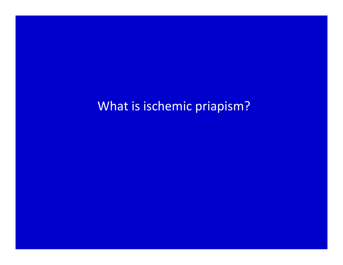What is ischemic priapism?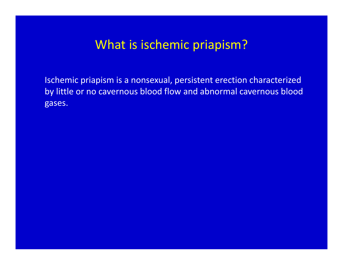#### What is ischemic priapism?

Ischemic priapism is <sup>a</sup> nonsexual, persistent erection characterized by little or no cavernous blood flow and abnormal cavernous blood gases.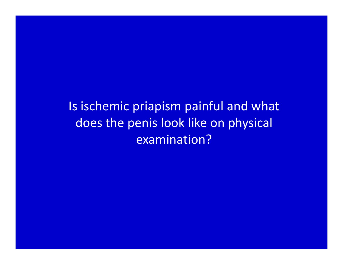Is ischemic priapism painful and what does the penis look like on physical examination?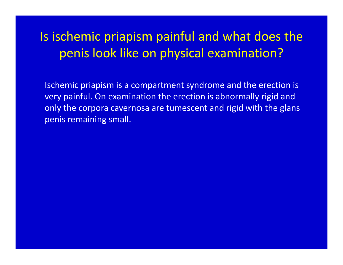# Is ischemic priapism painful and what does the penis look like on physical examination?

Ischemic priapism is <sup>a</sup> compartment syndrome and the erection is very painful. On examination the erection is abnormally rigid and only the corpora cavernosa are tumescent and rigid with the glans penis remaining small.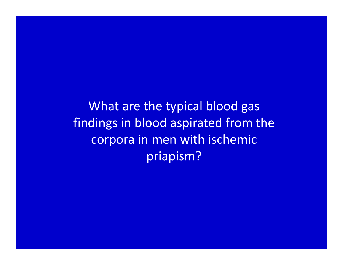What are the typical blood gas findings in blood aspirated from the corpora in men with ischemic priapism?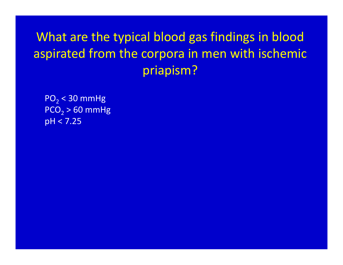# What are the typical blood gas findings in blood aspirated from the corpora in men with ischemic priapism?

PO $_2$  < 30 mmHg  $\mathsf{PCO}_2$  > 60 mmHg pH <sup>&</sup>lt; 7.25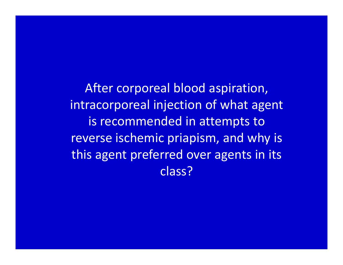After corporeal blood aspiration, intracorporeal injection of what agent is recommended in attempts to reverse ischemic priapism, and why is this agent preferred over agents in its class?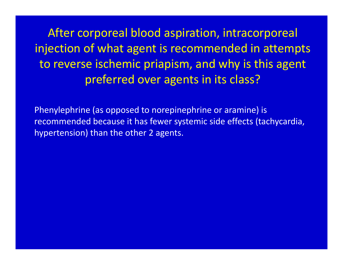After corporeal blood aspiration, intracorporeal injection of what agent is recommended in attempts to reverse ischemic priapism, and why is this agent preferred over agents in its class?

Phenylephrine (as opposed to norepinephrine or aramine) is recommended because it has fewer systemic side effects (tachycardia, hypertension) than the other 2 agents.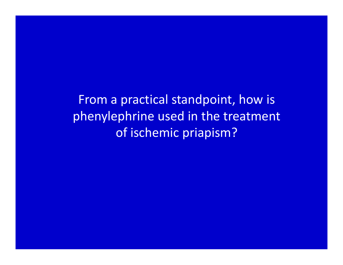From <sup>a</sup> practical standpoint, how is phenylephrine used in the treatment of ischemic priapism?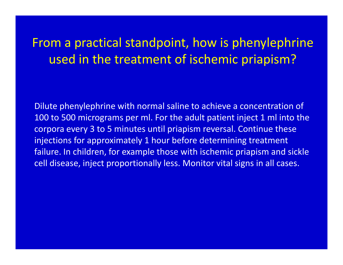# From <sup>a</sup> practical standpoint, how is phenylephrine used in the treatment of ischemic priapism?

Dilute phenylephrine with normal saline to achieve <sup>a</sup> concentration of 100 to 500 micrograms per ml. For the adult patient inject 1 ml into the corpora every 3 to 5 minutes until priapism reversal. Continue these injections for approximately 1 hour before determining treatment failure. In children, for example those with ischemic priapism and sickle cell disease, inject proportionally less. Monitor vital signs in all cases.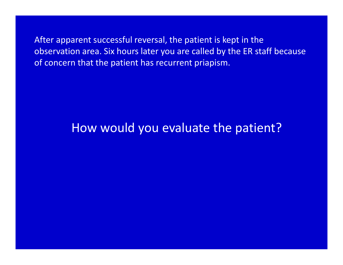After apparent successful reversal, the patient is kept in the observation area. Six hours later you are called by the ER staff because of concern that the patient has recurrent priapism.

#### How would you evaluate the patient?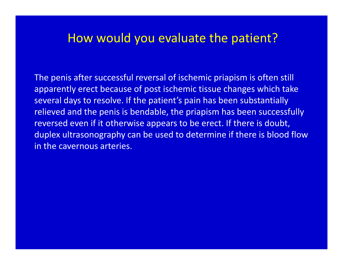#### How would you evaluate the patient?

The penis after successful reversal of ischemic priapism is often still apparently erect because of post ischemic tissue changes which take several days to resolve. If the patient's pain has been substantially relieved and the penis is bendable, the priapism has been successfully reversed even if it otherwise appears to be erect. If there is doubt, duplex ultrasonography can be used to determine if there is blood flow in the cavernous arteries.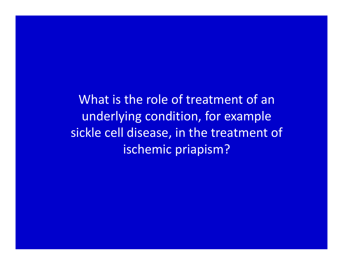What is the role of treatment of anunderlying condition, for example sickle cell disease, in the treatment of ischemic priapism?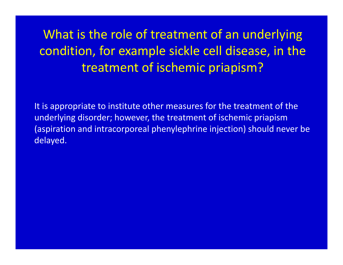# What is the role of treatment of an underlying condition, for example sickle cell disease, in the treatment of ischemic priapism?

It is appropriate to institute other measures for the treatment of the underlying disorder; however, the treatment of ischemic priapism (aspiration and intracorporeal phenylephrine injection) should never be delayed.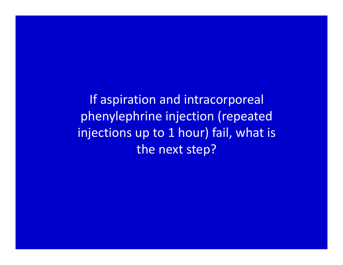If aspiration and intracorporeal phenylephrine injection (repeated injections up to 1 hour) fail, what is the next step?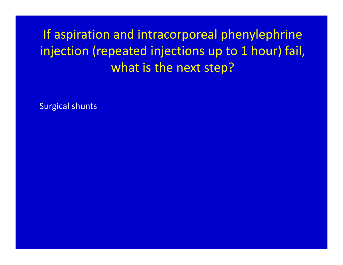If aspiration and intracorporeal phenylephrine injection (repeated injections up to 1 hour) fail, what is the next step?

Surgical shunts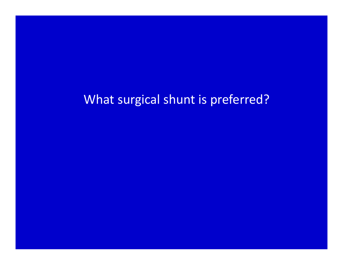#### What surgical shunt is preferred?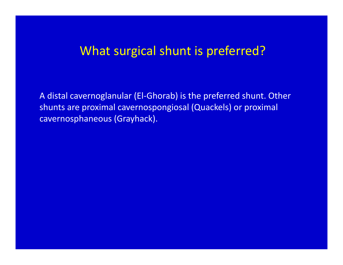#### What surgical shunt is preferred?

A distal cavernoglanular (El‐Ghorab) is the preferred shunt. Other shunts are proximal cavernospongiosal (Quackels) or proximal cavernosphaneous (Grayhack).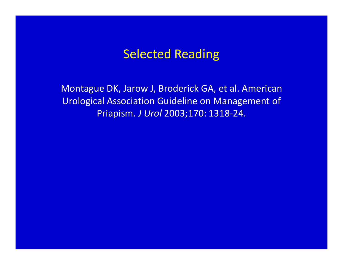#### Selected Reading

Montague DK, Jarow J, Broderick GA, et al. American Urological Association Guideline on Management of Priapism. *J Urol* 2003;170: 1318‐24.